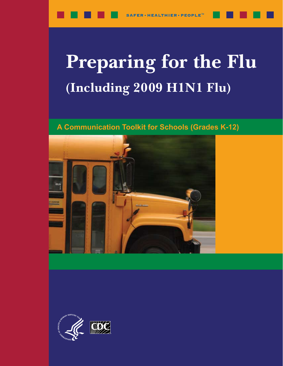# **Preparing for the Flu** (Including 2009 H1N1 Flu)

### A Communication Toolkit for Schools (Grades K-12)



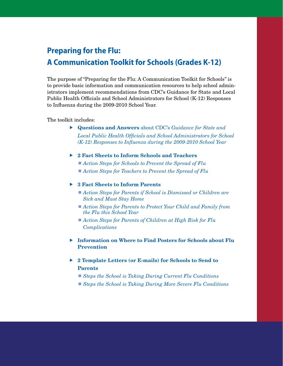### **Preparing for the Flu: A Communication Toolkit for Schools (Grades K-12)**

The purpose of "Preparing for the Flu: A Communication Toolkit for Schools" is to provide basic information and communication resources to help school administrators implement recommendations from CDC's Guidance for State and Local Public Health Officials and School Administrators for School (K-12) Responses to Influenza during the 2009-2010 School Year.

The toolkit includes:

- Questions and Answers about CDC's *Guidance for State and Local Public Health Officials and School Administrators for School (K-12) Responses to Influenza during the 2009-2010 School Year*
- ▶ 2 Fact Sheets to Inform Schools and Teachers
	- *Action Steps for Schools to Prevent the Spread of Flu*
	- *Action Steps for Teachers to Prevent the Spread of Flu*

#### ▶ 3 Fact Sheets to Inform Parents

- Action Steps for Parents if School is Dismissed or Children are  *Sick and Must Stay Home*
- *Action Steps for Parents to Protect Your Child and Family from the Flu this School Year*
- *Action Steps for Parents of Children at High Risk for Flu Complications*
- Information on Where to Find Posters for Schools about Flu Prevention
- ▶ 2 Template Letters (or E-mails) for Schools to Send to Parents
	- *Steps the School is Taking During Current Flu Conditions*
	- *Steps the School is Taking During More Severe Flu Conditions*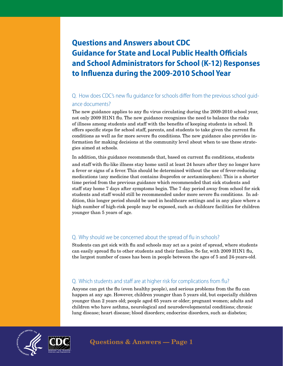### **Questions and Answers about CDC Guidance for State and Local Public Health Officials and School Administrators for School (K-12) Responses to Influenza during the 2009-2010 School Year**

### Q. How does CDC's new flu guidance for schools differ from the previous school guidance documents?

The new guidance applies to any flu virus circulating during the 2009-2010 school year, not only 2009 H1N1 flu. The new guidance recognizes the need to balance the risks of illness among students and staff with the benefits of keeping students in school. It offers specific steps for school staff, parents, and students to take given the current flu conditions as well as for more severe flu conditions. The new guidance also provides information for making decisions at the community level about when to use these strategies aimed at schools.

In addition, this guidance recommends that, based on current flu conditions, students and staff with flu-like illness stay home until at least 24 hours after they no longer have a fever or signs of a fever. This should be determined without the use of fever-reducing medications (any medicine that contains ibuprofen or acetaminophen). This is a shorter time period from the previous guidance which recommended that sick students and staff stay home 7 days after symptoms begin. The 7 day period away from school for sick students and staff would still be recommended under more severe flu conditions. In addition, this longer period should be used in healthcare settings and in any place where a high number of high-risk people may be exposed, such as childcare facilities for children younger than 5 years of age.

### Q. Why should we be concerned about the spread of flu in schools?

Students can get sick with flu and schools may act as a point of spread, where students can easily spread flu to other students and their families. So far, with 2009 H1N1 flu, the largest number of cases has been in people between the ages of 5 and 24-years-old.

### Q. Which students and staff are at higher risk for complications from flu?

Anyone can get the flu (even healthy people), and serious problems from the flu can happen at any age. However, children younger than 5 years old, but especially children younger than 2 years old; people aged 65 years or older; pregnant women; adults and children who have asthma, neurological and neurodevelopmental conditions; chronic lung disease; heart disease; blood disorders; endocrine disorders, such as diabetes;



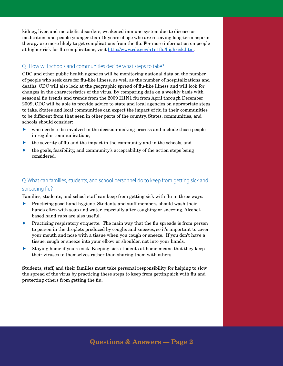kidney, liver, and metabolic disorders; weakened immune system due to disease or medication; and people younger than 19 years of age who are receiving long-term aspirin therapy are more likely to get complications from the flu. For more information on people at higher risk for flu complications, visit <http://www.cdc.gov/h1n1flu/highrisk.htm>.

### Q. How will schools and communities decide what steps to take?

CDC and other public health agencies will be monitoring national data on the number of people who seek care for flu-like illness, as well as the number of hospitalizations and deaths. CDC will also look at the geographic spread of flu-like illness and will look for changes in the characteristics of the virus. By comparing data on a weekly basis with seasonal flu trends and trends from the 2009 H1N1 flu from April through December 2009, CDC will be able to provide advice to state and local agencies on appropriate steps to take. States and local communities can expect the impact of flu in their communities to be different from that seen in other parts of the country. States, communities, and schools should consider:

- $\blacktriangleright$  who needs to be involved in the decision-making process and include those people in regular communications,
- $\blacktriangleright$  the severity of flu and the impact in the community and in the schools, and
- $\blacktriangleright$  the goals, feasibility, and community's acceptability of the action steps being considered.

### Q. What can families, students, and school personnel do to keep from getting sick and spreading flu?

Families, students, and school staff can keep from getting sick with flu in three ways:

- **F** Practicing good hand hygiene. Students and staff members should wash their hands often with soap and water, especially after coughing or sneezing. Alcoholbased hand rubs are also useful.
- **F** Practicing respiratory etiquette. The main way that the flu spreads is from person to person in the droplets produced by coughs and sneezes, so it's important to cover your mouth and nose with a tissue when you cough or sneeze. If you don't have a tissue, cough or sneeze into your elbow or shoulder, not into your hands.
- f Staying home if you're sick. Keeping sick students at home means that they keep their viruses to themselves rather than sharing them with others.

Students, staff, and their families must take personal responsibility for helping to slow the spread of the virus by practicing these steps to keep from getting sick with flu and protecting others from getting the flu.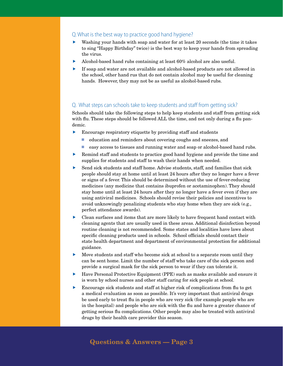### Q. What is the best way to practice good hand hygiene?

- $\blacktriangleright$  Washing your hands with soap and water for at least 20 seconds (the time it takes to sing "Happy Birthday" twice) is the best way to keep your hands from spreading the virus.
- Alcohol-based hand rubs containing at least  $60\%$  alcohol are also useful.
- f If soap and water are not available and alcohol-based products are not allowed in the school, other hand rus that do not contain alcohol may be useful for cleaning hands. However, they may not be as useful as alcohol-based rubs.

### Q. What steps can schools take to keep students and staff from getting sick?

Schools should take the following steps to help keep students and staff from getting sick with flu. These steps should be followed ALL the time, and not only during a flu pandemic.

- $\blacktriangleright$  Encourage respiratory etiquette by providing staff and students
	- education and reminders about covering coughs and sneezes, and
	- easy access to tissues and running water and soap or alcohol-based hand rubs.
- $\blacktriangleright$  Remind staff and students to practice good hand hygiene and provide the time and supplies for students and staff to wash their hands when needed.
- $\blacktriangleright$  Send sick students and staff home. Advise students, staff, and families that sick people should stay at home until at least 24 hours after they no longer have a fever or signs of a fever. This should be determined without the use of fever-reducing medicines (any medicine that contains ibuprofen or acetaminophen). They should stay home until at least 24 hours after they no longer have a fever even if they are using antiviral medicines. Schools should revise their policies and incentives to avoid unknowingly penalizing students who stay home when they are sick (e.g., perfect attendance awards).
- $\triangleright$  Clean surfaces and items that are more likely to have frequent hand contact with cleaning agents that are usually used in these areas. Additional disinfection beyond routine cleaning is not recommended. Some states and localities have laws about specific cleaning products used in schools. School officials should contact their state health department and department of environmental protection for additional guidance.
- $\blacktriangleright$  Move students and staff who become sick at school to a separate room until they can be sent home. Limit the number of staff who take care of the sick person and provide a surgical mask for the sick person to wear if they can tolerate it.
- $\blacktriangleright$  Have Personal Protective Equipment (PPE) such as masks available and ensure it is worn by school nurses and other staff caring for sick people at school.
- $\blacktriangleright$  Encourage sick students and staff at higher risk of complications from flu to get a medical evaluation as soon as possible. It's very important that antiviral drugs be used early to treat flu in people who are very sick (for example people who are in the hospital) and people who are sick with the flu and have a greater chance of getting serious flu complications. Other people may also be treated with antiviral drugs by their health care provider this season.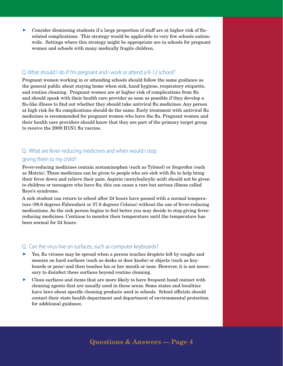Consider dismissing students if a large proportion of staff are at higher risk of flurelated complications. This strategy would be applicable to very few schools nationwide. Settings where this strategy might be appropriate are in schools for pregnant women and schools with many medically fragile children.

#### Q. What should I do if I'm pregnant and I work or attend a K-12 school?

Pregnant women working in or attending schools should follow the same guidance as the general public about staying home when sick, hand hygiene, respiratory etiquette, and routine cleaning. Pregnant women are at higher risk of complications from flu and should speak with their health care provider as soon as possible if they develop a flu-like illness to find out whether they should take antiviral flu medicines. Any person at high risk for flu complications should do the same. Early treatment with antiviral flu medicines is recommended for pregnant women who have the flu. Pregnant women and their health care providers should know that they are part of the primary target group to receive the 2009 H1N1 flu vaccine.

### Q. What are fever-reducing medicines and when would I stop giving them to my child?

Fever-reducing medicines contain acetaminophen (such as Tylenol) or ibuprofen (such as Motrin). These medicines can be given to people who are sick with flu to help bring their fever down and relieve their pain. Aspirin (acetylsalicylic acid) should not be given to children or teenagers who have flu; this can cause a rare but serious illness called Reye's syndrome.

A sick student can return to school after 24 hours have passed with a normal temperature (98.6 degrees Fahrenheit or 37.8 degrees Celsius) without the use of fever-reducing medications. As the sick person begins to feel better you may decide to stop giving feverreducing medicines. Continue to monitor their temperature until the temperature has been normal for 24 hours.

#### Q. Can the virus live on surfaces, such as computer keyboards?

- f Yes, flu viruses may be spread when a person touches droplets left by coughs and sneezes on hard surfaces (such as desks or door knobs) or objects (such as keyboards or pens) and then touches his or her mouth or nose. However, it is not necessary to disinfect these surfaces beyond routine cleaning.
- f Clean surfaces and items that are more likely to have frequent hand contact with cleaning agents that are usually used in these areas. Some states and localities have laws about specific cleaning products used in schools. School officials should contact their state health department and department of environmental protection for additional guidance.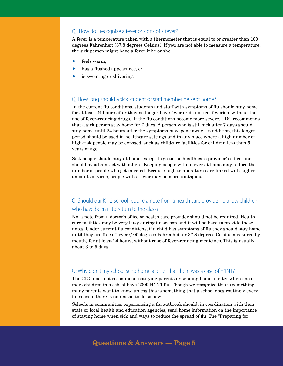### Q. How do I recognize a fever or signs of a fever?

A fever is a temperature taken with a thermometer that is equal to or greater than 100 degrees Fahrenheit (37.8 degrees Celsius). If you are not able to measure a temperature, the sick person might have a fever if he or she

- ▶ feels warm,
- has a flushed appearance, or
- **is sweating or shivering.**

### Q. How long should a sick student or staff member be kept home?

In the current flu conditions, students and staff with symptoms of flu should stay home for at least 24 hours after they no longer have fever or do not feel feverish, without the use of fever-reducing drugs. If the flu conditions become more severe, CDC recommends that a sick person stay home for 7 days. A person who is still sick after 7 days should stay home until 24 hours after the symptoms have gone away. In addition, this longer period should be used in healthcare settings and in any place where a high number of high-risk people may be exposed, such as childcare facilities for children less than 5 years of age.

Sick people should stay at home, except to go to the health care provider's office, and should avoid contact with others. Keeping people with a fever at home may reduce the number of people who get infected. Because high temperatures are linked with higher amounts of virus, people with a fever may be more contagious.

### Q. Should our K-12 school require a note from a health care provider to allow children who have been ill to return to the class?

No, a note from a doctor's office or health care provider should not be required. Health care facilities may be very busy during flu season and it will be hard to provide these notes. Under current flu conditions, if a child has symptoms of flu they should stay home until they are free of fever (100 degrees Fahrenheit or 37.8 degrees Celsius measured by mouth) for at least 24 hours, without ruse of fever-reducing medicines. This is usually about 3 to 5 days.

#### Q: Why didn't my school send home a letter that there was a case of H1N1?

The CDC does not recommend notifying parents or sending home a letter when one or more children in a school have 2009 H1N1 flu. Though we recognize this is something many parents want to know, unless this is something that a school does routinely every flu season, there is no reason to do so now.

Schools in communities experiencing a flu outbreak should, in coordination with their state or local health and education agencies, send home information on the importance of staying home when sick and ways to reduce the spread of flu. The "Preparing for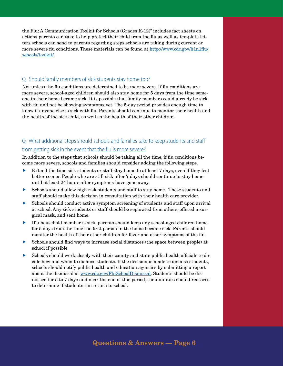the Flu: A Communication Toolkit for Schools (Grades K-12)" includes fact sheets on actions parents can take to help protect their child from the flu as well as template letters schools can send to parents regarding steps schools are taking during current or more severe flu conditions. These materials can be found at [http://www.cdc.gov/h1n1flu/](http://www.cdc.gov/h1n1flu/schools/toolkit/) [schools/toolkit/](http://www.cdc.gov/h1n1flu/schools/toolkit/).

### Q. Should family members of sick students stay home too?

Not unless the flu conditions are determined to be more severe. If flu conditions are more severe, school-aged children should also stay home for 5 days from the time someone in their home became sick. It is possible that family members could already be sick with flu and not be showing symptoms yet. The 5-day period provides enough time to know if anyone else is sick with flu. Parents should continue to monitor their health and the health of the sick child, as well as the health of their other children.

### Q. What additional steps should schools and families take to keep students and staff from getting sick in the event that the flu is more severe?

In addition to the steps that schools should be taking all the time, if flu conditions become more severe, schools and families should consider adding the following steps.

- $\blacktriangleright$  Extend the time sick students or staff stay home to at least 7 days, even if they feel better sooner. People who are still sick after 7 days should continue to stay home until at least 24 hours after symptoms have gone away.
- $\triangleright$  Schools should allow high risk students and staff to stay home. These students and staff should make this decision in consultation with their health care provider.
- f Schools should conduct active symptom screening of students and staff upon arrival at school. Any sick students or staff should be separated from others, offered a surgical mask, and sent home.
- f If a household member is sick, parents should keep any school-aged children home for 5 days from the time the first person in the home became sick. Parents should monitor the health of their other children for fever and other symptoms of the flu.
- f Schools should find ways to increase social distances (the space between people) at school if possible.
- f Schools should work closely with their county and state public health officials to decide how and when to dismiss students. If the decision is made to dismiss students, schools should notify public health and education agencies by submitting a report about the dismissal at<www.cdc.gov/FluSchoolDismissal>. Students should be dismissed for 5 to 7 days and near the end of this period, communities should reassess to determine if students can return to school.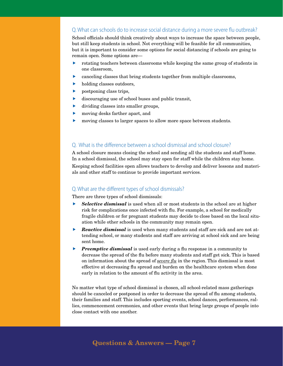### Q. What can schools do to increase social distance during a more severe flu outbreak?

School officials should think creatively about ways to increase the space between people, but still keep students in school. Not everything will be feasible for all communities, but it is important to consider some options for social distancing if schools are going to remain open. Some options are—

- f rotating teachers between classrooms while keeping the same group of students in one classroom,
- $\blacktriangleright$  canceling classes that bring students together from multiple classrooms,
- $\blacktriangleright$  holding classes outdoors,
- $\blacktriangleright$  postponing class trips,
- $\blacktriangleright$  discouraging use of school buses and public transit,
- $\blacktriangleright$  dividing classes into smaller groups,
- $\blacktriangleright$  moving desks farther apart, and
- $\blacktriangleright$  moving classes to larger spaces to allow more space between students.

### Q. What is the difference between a school dismissal and school closure?

A school closure means closing the school and sending all the students and staff home. In a school dismissal, the school may stay open for staff while the children stay home. Keeping school facilities open allows teachers to develop and deliver lessons and materials and other staff to continue to provide important services.

#### Q. What are the different types of school dismissals?

There are three types of school dismissals:

- **Selective dismissal** is used when all or most students in the school are at higher risk for complications once infected with flu. For example, a school for medically fragile children or for pregnant students may decide to close based on the local situation while other schools in the community may remain open.
- **F** *Reactive dismissal* is used when many students and staff are sick and are not attending school, or many students and staff are arriving at school sick and are being sent home.
- **Figure 12** *Preemptive dismissal* is used early during a flu response in a community to decrease the spread of the flu before many students and staff get sick. This is based on information about the spread of *severe flu* in the region. This dismissal is most effective at decreasing flu spread and burden on the healthcare system when done early in relation to the amount of flu activity in the area.

No matter what type of school dismissal is chosen, all school-related mass gatherings should be canceled or postponed in order to decrease the spread of flu among students, their families and staff. This includes sporting events, school dances, performances, rallies, commencement ceremonies, and other events that bring large groups of people into close contact with one another.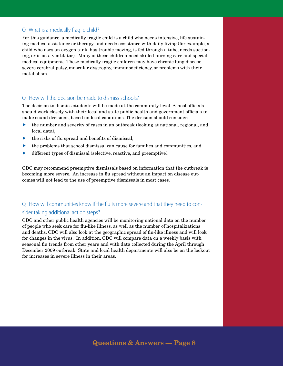### Q. What is a medically fragile child?

For this guidance, a medically fragile child is a child who needs intensive, life sustaining medical assistance or therapy, and needs assistance with daily living (for example, a child who uses an oxygen tank, has trouble moving, is fed through a tube, needs suctioning, or is on a ventilator). Many of these children need skilled nursing care and special medical equipment. These medically fragile children may have chronic lung disease, severe cerebral palsy, muscular dystrophy, immunodeficiency, or problems with their metabolism.

### Q. How will the decision be made to dismiss schools?

The decision to dismiss students will be made at the community level. School officials should work closely with their local and state public health and government officials to make sound decisions, based on local conditions. The decision should consider:

- $\blacktriangleright$  the number and severity of cases in an outbreak (looking at national, regional, and local data),
- $\blacktriangleright$  the risks of flu spread and benefits of dismissal,
- $\blacktriangleright$  the problems that school dismissal can cause for families and communities, and
- $\blacktriangleright$  different types of dismissal (selective, reactive, and preemptive).

CDC may recommend preemptive dismissals based on information that the outbreak is becoming more severe. An increase in flu spread without an impact on disease outcomes will not lead to the use of preemptive dismissals in most cases.

### Q. How will communities know if the flu is more severe and that they need to consider taking additional action steps?

CDC and other public health agencies will be monitoring national data on the number of people who seek care for flu-like illness, as well as the number of hospitalizations and deaths. CDC will also look at the geographic spread of flu-like illness and will look for changes in the virus. In addition, CDC will compare data on a weekly basis with seasonal flu trends from other years and with data collected during the April through December 2009 outbreak. State and local health departments will also be on the lookout for increases in severe illness in their areas.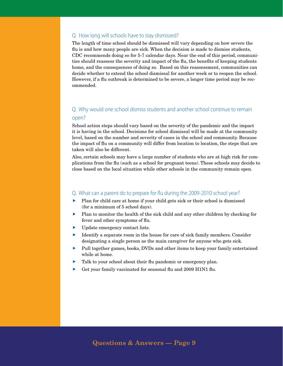### Q. How long will schools have to stay dismissed?

The length of time school should be dismissed will vary depending on how severe the flu is and how many people are sick. When the decision is made to dismiss students, CDC recommends doing so for 5-7 calendar days. Near the end of this period, communities should reassess the severity and impact of the flu, the benefits of keeping students home, and the consequences of doing so. Based on this reassessment, communities can decide whether to extend the school dismissal for another week or to reopen the school. However, if a flu outbreak is determined to be severe, a longer time period may be recommended.

### Q. Why would one school dismiss students and another school continue to remain open?

School action steps should vary based on the severity of the pandemic and the impact it is having in the school. Decisions for school dismissal will be made at the community level, based on the number and severity of cases in the school and community. Because the impact of flu on a community will differ from location to location, the steps that are taken will also be different.

Also, certain schools may have a large number of students who are at high risk for complications from the flu (such as a school for pregnant teens). These schools may decide to close based on the local situation while other schools in the community remain open.

#### Q. What can a parent do to prepare for flu during the 2009-2010 school year?

- $\blacktriangleright$  Plan for child care at home if your child gets sick or their school is dismissed (for a minimum of 5 school days).
- $\blacktriangleright$  Plan to monitor the health of the sick child and any other children by checking for fever and other symptoms of flu.
- $\blacktriangleright$  Update emergency contact lists.
- $\blacktriangleright$  Identify a separate room in the house for care of sick family members. Consider designating a single person as the main caregiver for anyone who gets sick.
- $\blacktriangleright$  Pull together games, books, DVDs and other items to keep your family entertained while at home.
- $\blacktriangleright$  Talk to your school about their flu pandemic or emergency plan.
- **F** Get your family vaccinated for seasonal flu and 2009 H1N1 flu.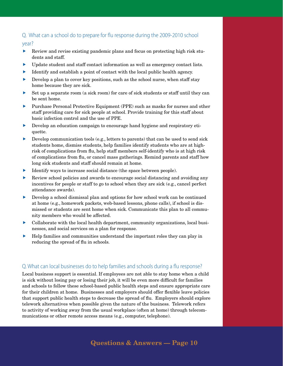### Q. What can a school do to prepare for flu response during the 2009-2010 school

### year?

- $\blacktriangleright$  Review and revise existing pandemic plans and focus on protecting high risk students and staff.
- Update student and staff contact information as well as emergency contact lists.
- $\blacktriangleright$  Identify and establish a point of contact with the local public health agency.
- $\blacktriangleright$  Develop a plan to cover key positions, such as the school nurse, when staff stay home because they are sick.
- f Set up a separate room (a sick room) for care of sick students or staff until they can be sent home.
- f Purchase Personal Protective Equipment (PPE) such as masks for nurses and other staff providing care for sick people at school. Provide training for this staff about basic infection control and the use of PPE.
- f Develop an education campaign to encourage hand hygiene and respiratory etiquette.
- f Develop communication tools (e.g., letters to parents) that can be used to send sick students home, dismiss students, help families identify students who are at highrisk of complications from flu, help staff members self-identify who is at high risk of complications from flu, or cancel mass gatherings. Remind parents and staff how long sick students and staff should remain at home.
- Identify ways to increase social distance (the space between people).
- f Review school policies and awards to encourage social distancing and avoiding any incentives for people or staff to go to school when they are sick (e.g., cancel perfect attendance awards).
- f Develop a school dismissal plan and options for how school work can be continued at home (e.g., homework packets, web-based lessons, phone calls), if school is dismissed or students are sent home when sick. Communicate this plan to all community members who would be affected.
- f Collaborate with the local health department, community organizations, local businesses, and social services on a plan for response.
- f Help families and communities understand the important roles they can play in reducing the spread of flu in schools.

### Q. What can local businesses do to help families and schools during a flu response?

Local business support is essential. If employees are not able to stay home when a child is sick without losing pay or losing their job, it will be even more difficult for families and schools to follow these school-based public health steps and ensure appropriate care for their children at home. Businesses and employers should offer flexible leave policies that support public health steps to decrease the spread of flu. Employers should explore telework alternatives when possible given the nature of the business. Telework refers to activity of working away from the usual workplace (often at home) through telecommunications or other remote access means (e.g., computer, telephone).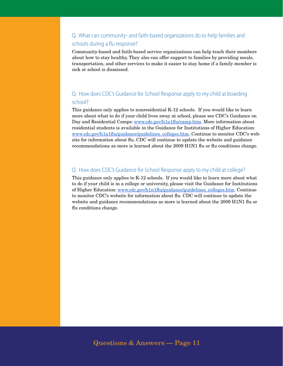### Q. What can community- and faith-based organizations do to help families and schools during a flu response?

Community-based and faith-based service organizations can help teach their members about how to stay healthy. They also can offer support to families by providing meals, transportation, and other services to make it easier to stay home if a family member is sick or school is dismissed.

### Q. How does CDC's Guidance for School Response apply to my child at boarding school?

This guidance only applies to nonresidential K-12 schools. If you would like to learn more about what to do if your child lives away at school, please see CDC's Guidance on Day and Residential Camps:<www.cdc.gov/h1n1flu/camp.htm>. More information about residential students is available in the Guidance for Institutions of Higher Education: [www.cdc.gov/h1n1flu/guidance/guidelines\\_colleges.htm.](www.cdc.gov/h1n1flu/guidance/guidelines_colleges.htm) Continue to monitor CDC's website for information about flu. CDC will continue to update the website and guidance recommendations as more is learned about the 2009 H1N1 flu or flu conditions change.

### Q. How does CDC's Guidance for School Response apply to my child at college?

This guidance only applies to K-12 schools. If you would like to learn more about what to do if your child is in a college or university, please visit the Guidance for Institutions of Higher Education: [www.cdc.gov/h1n1flu/guidance/guidelines\\_colleges.htm](www.cdc.gov/h1n1flu/guidance/guidelines_colleges.htm). Continue to monitor CDC's website for information about flu. CDC will continue to update the website and guidance recommendations as more is learned about the 2009 H1N1 flu or flu conditions change.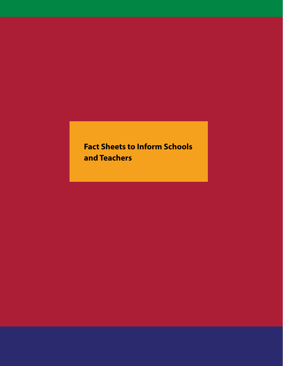## **Fact Sheets to Inform Schools and Teachers**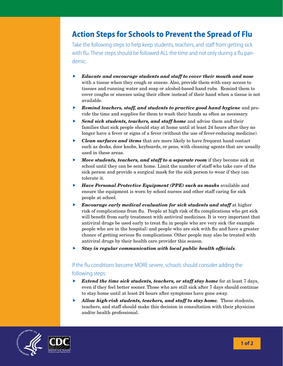### **Action Steps for Schools to Prevent the Spread of Flu**

Take the following steps to help keep students, teachers, and staff from getting sick with flu. These steps should be followed ALL the time and not only during a flu pandemic.

- f *Educate and encourage students and staff to cover their mouth and nose* with a tissue when they cough or sneeze. Also, provide them with easy access to tissues and running water and soap or alcohol-based hand rubs. Remind them to cover coughs or sneezes using their elbow instead of their hand when a tissue is not available.
- **F** *Remind teachers, staff, and students to practice good hand hygiene* and provide the time and supplies for them to wash their hands as often as necessary.
- **Fand sick students, teachers, and staff home** and advise them and their families that sick people should stay at home until at least 24 hours after they no longer have a fever or signs of a fever (without the use of fever-reducing medicine).
- **F** *Clean surfaces and items* that are more likely to have frequent hand contact such as desks, door knobs, keyboards, or pens, with cleaning agents that are usually used in these areas.
- **Move students, teachers, and staff to a separate room** if they become sick at school until they can be sent home. Limit the number of staff who take care of the sick person and provide a surgical mask for the sick person to wear if they can tolerate it.
- **F** *Have Personal Protective Equipment (PPE) such as masks* available and ensure the equipment is worn by school nurses and other staff caring for sick people at school.
- **Encourage early medical evaluation for sick students and staff** at higher risk of complications from flu. People at high risk of flu complications who get sick will benefit from early treatment with antiviral medicines. It is very important that antiviral drugs be used early to treat flu in people who are very sick (for example people who are in the hospital) and people who are sick with flu and have a greater chance of getting serious flu complications. Other people may also be treated with antiviral drugs by their health care provider this season.
- **Figure 1** Stay in regular communication with local public health officials.

### If the flu conditions become MORE severe, schools should consider adding the

#### following steps:

- **F** *Extend the time sick students, teachers, or staff stay home* for at least 7 days, even if they feel better sooner. Those who are still sick after 7 days should continue to stay home until at least 24 hours after symptoms have gone away.
- *Allow high-risk students, teachers, and staff to stay home.* These students, teachers, and staff should make this decision in consultation with their physician and/or health professional.



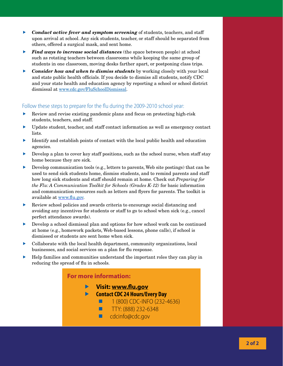- **F** *Conduct active fever and symptom screening* of students, teachers, and staff upon arrival at school. Any sick students, teacher, or staff should be separated from others, offered a surgical mask, and sent home.
- **Find ways to increase social distances** (the space between people) at school such as rotating teachers between classrooms while keeping the same group of students in one classroom, moving desks farther apart, or postponing class trips.
- f *Consider how and when to dismiss students* by working closely with your local and state public health officials. If you decide to dismiss all students, notify CDC and your state health and education agency by reporting a school or school district dismissal at <www.cdc.gov/FluSchoolDismissal>.

### Follow these steps to prepare for the flu during the 2009-2010 school year:

- $\blacktriangleright$  Review and revise existing pandemic plans and focus on protecting high-risk students, teachers, and staff.
- $\blacktriangleright$  Update student, teacher, and staff contact information as well as emergency contact lists.
- f Identify and establish points of contact with the local public health and education agencies.
- $\blacktriangleright$  Develop a plan to cover key staff positions, such as the school nurse, when staff stay home because they are sick.
- Develop communication tools (e.g., letters to parents, Web site postings) that can be used to send sick students home, dismiss students, and to remind parents and staff how long sick students and staff should remain at home. Check out *Preparing for the Flu: A Communication Toolkit for Schools (Grades K-12)* for basic information and communication resources such as letters and flyers for parents. The toolkit is available at <www.flu.gov>.
- f Review school policies and awards criteria to encourage social distancing and avoiding any incentives for students or staff to go to school when sick (e.g., cancel perfect attendance awards).
- $\triangleright$  Develop a school dismissal plan and options for how school work can be continued at home (e.g., homework packets, Web-based lessons, phone calls), if school is dismissed or students are sent home when sick.
- $\triangleright$  Collaborate with the local health department, community organizations, local businesses, and social services on a plan for flu response.
- f Help families and communities understand the important roles they can play in reducing the spread of flu in schools.

### **For more information:**

- **Visit: www.flu.gov**
	- **Contact CDC 24 Hours/Every Day**
		- $1 (800)$  CDC-INFO (232-4636)
		- $\blacksquare$  TTY: (888) 232-6348
		- cdcinfo@cdc.gov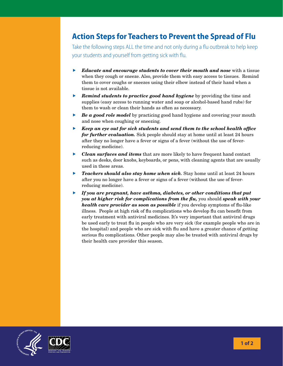### **Action Steps for Teachers to Prevent the Spread of Flu**

Take the following steps ALL the time and not only during a flu outbreak to help keep your students and yourself from getting sick with flu.

- **E** *Educate and encourage students to cover their mouth and nose* with a tissue when they cough or sneeze. Also, provide them with easy access to tissues. Remind them to cover coughs or sneezes using their elbow instead of their hand when a tissue is not available.
- **F Remind students to practice good hand hygiene** by providing the time and supplies (easy access to running water and soap or alcohol-based hand rubs) for them to wash or clean their hands as often as necessary.
- **F** *Be a good role model* by practicing good hand hygiene and covering your mouth and nose when coughing or sneezing.
- **Keep an eye out for sick students and send them to the school health office** *for further evaluation.* Sick people should stay at home until at least 24 hours after they no longer have a fever or signs of a fever (without the use of feverreducing medicine).
- **F** *Clean surfaces and items* that are more likely to have frequent hand contact such as desks, door knobs, keyboards, or pens, with cleaning agents that are usually used in these areas.
- **F** *Teachers should also stay home when sick.* **Stay home until at least 24 hours** after you no longer have a fever or signs of a fever (without the use of feverreducing medicine).
- f *If you are pregnant, have asthma, diabetes, or other conditions that put you at higher risk for complications from the flu,* you should *speak with your health care provider as soon as possible* if you develop symptoms of flu-like illness. People at high risk of flu complications who develop flu can benefit from early treatment with antiviral medicines. It's very important that antiviral drugs be used early to treat flu in people who are very sick (for example people who are in the hospital) and people who are sick with flu and have a greater chance of getting serious flu complications. Other people may also be treated with antiviral drugs by their health care provider this season.

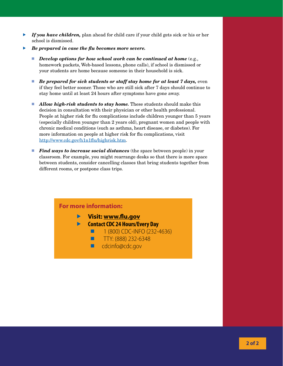- f *If you have children,* plan ahead for child care if your child gets sick or his or her school is dismissed.
- Be prepared in case the flu becomes more severe.
	- *Develop options for how school work can be continued at home* (e.g., homework packets, Web-based lessons, phone calls), if school is dismissed or your students are home because someone in their household is sick.
	- *Be prepared for sick students or staff stay home for at least 7 days,* even if they feel better sooner. Those who are still sick after 7 days should continue to stay home until at least 24 hours after symptoms have gone away.
	- **Allow high-risk students to stay home.** These students should make this decision in consultation with their physician or other health professional. People at higher risk for flu complications include children younger than 5 years (especially children younger than 2 years old), pregnant women and people with chronic medical conditions (such as asthma, heart disease, or diabetes). For more information on people at higher risk for flu complications, visit <http://www.cdc.gov/h1n1flu/highrisk.htm>.
	- *Find ways to increase social distances* (the space between people) in your classroom. For example, you might rearrange desks so that there is more space between students, consider cancelling classes that bring students together from different rooms, or postpone class trips.

### **For more information: Visit: www.flu.gov Contact CDC 24 Hours/Every Day**  $1 (800)$  CDC-INFO (232-4636)  $\blacksquare$  TTY: (888) 232-6348 ■ cdcinfo@cdc.gov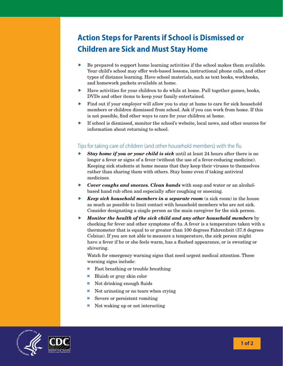## **Action Steps for Parents if School is Dismissed or Children are Sick and Must Stay Home**

- $\blacktriangleright$  Be prepared to support home learning activities if the school makes them available. Your child's school may offer web-based lessons, instructional phone calls, and other types of distance learning. Have school materials, such as text books, workbooks, and homework packets available at home.
- $\blacktriangleright$  Have activities for your children to do while at home. Pull together games, books, DVDs and other items to keep your family entertained.
- f Find out if your employer will allow you to stay at home to care for sick household members or children dismissed from school. Ask if you can work from home. If this is not possible, find other ways to care for your children at home.
- $\blacktriangleright$  If school is dismissed, monitor the school's website, local news, and other sources for information about returning to school.

### Tips for taking care of children (and other household members) with the flu

- **Stay home if you or your child is sick** until at least 24 hours after there is no longer a fever or signs of a fever (without the use of a fever-reducing medicine). Keeping sick students at home means that they keep their viruses to themselves rather than sharing them with others. Stay home even if taking antiviral medicines.
- **F** *Cover coughs and sneezes. Clean hands* with soap and water or an alcoholbased hand rub often and especially after coughing or sneezing.
- **Keep sick household members in a separate room** (a sick room) in the house as much as possible to limit contact with household members who are not sick. Consider designating a single person as the main caregiver for the sick person.
- *Monitor the health of the sick child and any other household members* **by** checking for fever and other symptoms of flu. A fever is a temperature taken with a thermometer that is equal to or greater than 100 degrees Fahrenheit (37.8 degrees Celsius). If you are not able to measure a temperature, the sick person might have a fever if he or she feels warm, has a flushed appearance, or is sweating or shivering.

Watch for emergency warning signs that need urgent medical attention. These warning signs include:

- Fast breathing or trouble breathing
- Bluish or gray skin color
- $\blacksquare$  Not drinking enough fluids
- $\blacksquare$  Not urinating or no tears when crying
- Severe or persistent vomiting
- $\blacksquare$  Not waking up or not interacting

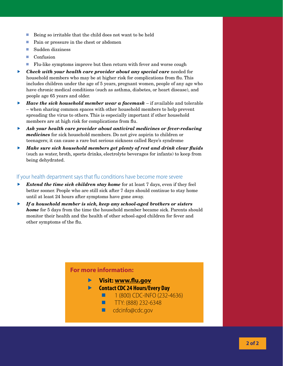- $\blacksquare$  Being so irritable that the child does not want to be held
- Pain or pressure in the chest or abdomen
- Sudden dizziness
- **Confusion**
- **Fig.** Flu-like symptoms improve but then return with fever and worse cough
- f *Check with your health care provider about any special care* needed for household members who may be at higher risk for complications from flu. This includes children under the age of 5 years, pregnant women, people of any age who have chronic medical conditions (such as asthma, diabetes, or heart disease), and people age 65 years and older.
- *Have the sick household member wear a facemask –* **if available and tolerable** – when sharing common spaces with other household members to help prevent spreading the virus to others. This is especially important if other household members are at high risk for complications from flu.
- **b** Ask your health care provider about antiviral medicines or fever-reducing *medicines* for sick household members. Do not give aspirin to children or teenagers; it can cause a rare but serious sickness called Reye's syndrome
- **K** *Make sure sick household members get plenty of rest and drink clear fluids* (such as water, broth, sports drinks, electrolyte beverages for infants) to keep from being dehydrated.

#### If your health department says that flu conditions have become more severe

- **F** *Extend the time sick children stay home* for at least 7 days, even if they feel better sooner. People who are still sick after 7 days should continue to stay home until at least 24 hours after symptoms have gone away.
- f *If a household member is sick, keep any school-aged brothers or sisters home* for 5 days from the time the household member became sick. Parents should monitor their health and the health of other school-aged children for fever and other symptoms of the flu.

### **For more information:**

- **Visit: www.flu.gov**
- **Contact CDC 24 Hours/Every Day**
	- $1 (800)$  CDC-INFO (232-4636)
	- $TTY: (888) 232-6348$
	- cdcinfo@cdc.gov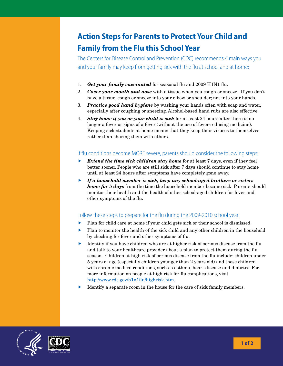## **Action Steps for Parents to Protect Your Child and Family from the Flu this School Year**

The Centers for Disease Control and Prevention (CDC) recommends 4 main ways you and your family may keep from getting sick with the flu at school and at home:

- 1. *Get your family vaccinated* for seasonal flu and 2009 H1N1 flu.
- 2. *Cover your mouth and nose* with a tissue when you cough or sneeze. If you don't have a tissue, cough or sneeze into your elbow or shoulder; not into your hands.
- 3. *Practice good hand hygiene* by washing your hands often with soap and water, especially after coughing or sneezing. Alcohol-based hand rubs are also effective.
- 4. *Stay home if you or your child is sick* for at least 24 hours after there is no longer a fever or signs of a fever (without the use of fever-reducing medicine). Keeping sick students at home means that they keep their viruses to themselves rather than sharing them with others.

### If flu conditions become MORE severe, parents should consider the following steps:

- *Extend the time sick children stay home* for at least 7 days, even if they feel better sooner. People who are still sick after 7 days should continue to stay home until at least 24 hours after symptoms have completely gone away.
- **F** *If a household member is sick, keep any school-aged brothers or sisters home for 5 days* from the time the household member became sick. Parents should monitor their health and the health of other school-aged children for fever and other symptoms of the flu.

### Follow these steps to prepare for the flu during the 2009-2010 school year:

- $\blacktriangleright$  Plan for child care at home if your child gets sick or their school is dismissed.
- $\blacktriangleright$  Plan to monitor the health of the sick child and any other children in the household by checking for fever and other symptoms of flu.
- $\blacktriangleright$  Identify if you have children who are at higher risk of serious disease from the flu and talk to your healthcare provider about a plan to protect them during the flu season. Children at high risk of serious disease from the flu include: children under 5 years of age (especially children younger than 2 years old) and those children with chronic medical conditions, such as asthma, heart disease and diabetes. For more information on people at high risk for flu complications, visit <http://www.cdc.gov/h1n1flu/highrisk.htm>.
- $\blacktriangleright$  Identify a separate room in the house for the care of sick family members.

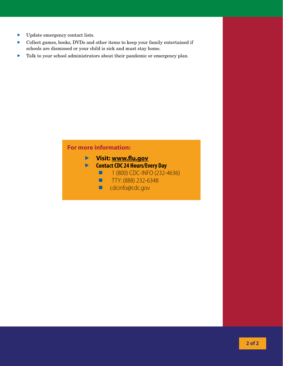- $\blacktriangleright$  Update emergency contact lists.
- f Collect games, books, DVDs and other items to keep your family entertained if schools are dismissed or your child is sick and must stay home.
- $\blacktriangleright$  Talk to your school administrators about their pandemic or emergency plan.

### **For more information:**

- **Visit: www.flu.gov**
- **Contact CDC 24 Hours/Every Day**
	- **1 (800) CDC-INFO (232-4636)**
	- TTY: (888) 232-6348
	- cdcinfo@cdc.gov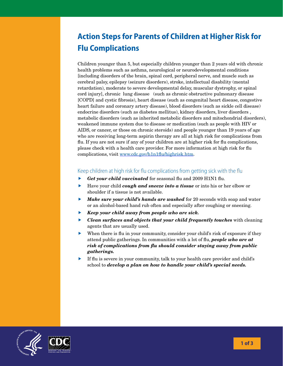## **Action Steps for Parents of Children at Higher Risk for Flu Complications**

Children younger than 5, but especially children younger than 2 years old with chronic health problems such as asthma, neurological or neurodevelopmental conditions [including disorders of the brain, spinal cord, peripheral nerve, and muscle such as cerebral palsy, epilepsy (seizure disorders), stroke, intellectual disability (mental retardation), moderate to severe developmental delay, muscular dystrophy, or spinal cord injury], chronic lung disease (such as chronic obstructive pulmonary disease [COPD] and cystic fibrosis), heart disease (such as congenital heart disease, congestive heart failure and coronary artery disease), blood disorders (such as sickle cell disease) endocrine disorders (such as diabetes mellitus), kidney disorders, liver disorders , metabolic disorders (such as inherited metabolic disorders and mitochondrial disorders), weakened immune system due to disease or medication (such as people with HIV or AIDS, or cancer, or those on chronic steroids) and people younger than 19 years of age who are receiving long-term aspirin therapy are all at high risk for complications from flu. If you are not sure if any of your children are at higher risk for flu complications, please check with a health care provider. For more information at high risk for flu complications, visit [www.cdc.gov/h1n1flu/highrisk.htm.](www.cdc.gov/h1n1flu/highrisk.htm)

### Keep children at high risk for flu complications from getting sick with the flu

- **Fact your child vaccinated** for seasonal flu and 2009 H1N1 flu.
- **F** Have your child *cough and sneeze into a tissue* or into his or her elbow or shoulder if a tissue is not available.
- *Make sure your child's hands are washed* for 20 seconds with soap and water or an alcohol-based hand rub often and especially after coughing or sneezing.
- **Keep your child away from people who are sick.**
- **F** *Clean surfaces and objects that your child frequently touches* with cleaning agents that are usually used.
- $\blacktriangleright$  When there is flu in your community, consider your child's risk of exposure if they attend public gatherings. In communities with a lot of flu, *people who are at risk of complications from flu should consider staying away from public gatherings.*
- f If flu is severe in your community, talk to your health care provider and child's school to *develop a plan on how to handle your child's special needs.*

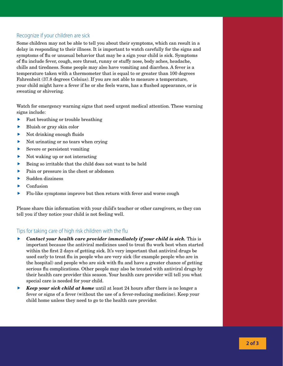### Recognize if your children are sick

Some children may not be able to tell you about their symptoms, which can result in a delay in responding to their illness. It is important to watch carefully for the signs and symptoms of flu or unusual behavior that may be a sign your child is sick. Symptoms of flu include fever, cough, sore throat, runny or stuffy nose, body aches, headache, chills and tiredness. Some people may also have vomiting and diarrhea. A fever is a temperature taken with a thermometer that is equal to or greater than 100 degrees Fahrenheit (37.8 degrees Celsius). If you are not able to measure a temperature, your child might have a fever if he or she feels warm, has a flushed appearance, or is sweating or shivering.

Watch for emergency warning signs that need urgent medical attention. These warning signs include:

- Fast breathing or trouble breathing
- Bluish or gray skin color
- Not drinking enough fluids
- Not urinating or no tears when crying
- Severe or persistent vomiting
- Not waking up or not interacting
- f Being so irritable that the child does not want to be held
- Pain or pressure in the chest or abdomen
- Sudden dizziness
- Confusion
- f Flu-like symptoms improve but then return with fever and worse cough

Please share this information with your child's teacher or other caregivers, so they can tell you if they notice your child is not feeling well.

### Tips for taking care of high risk children with the flu

- *Contact your health care provider immediately if your child is sick.* **This is** important because the antiviral medicines used to treat flu work best when started within the first 2 days of getting sick. It's very important that antiviral drugs be used early to treat flu in people who are very sick (for example people who are in the hospital) and people who are sick with flu and have a greater chance of getting serious flu complications. Other people may also be treated with antiviral drugs by their health care provider this season. Your health care provider will tell you what special care is needed for your child.
- *Keep your sick child at home* until at least 24 hours after there is no longer a fever or signs of a fever (without the use of a fever-reducing medicine). Keep your child home unless they need to go to the health care provider.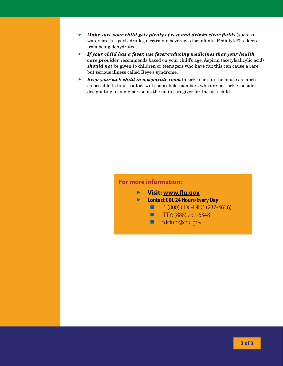- **K** *Make sure your child gets plenty of rest and drinks clear fluids* (such as water, broth, sports drinks, electrolyte beverages for infants, Pedialyte®) to keep from being dehydrated.
- **F** *If your child has a fever, use fever-reducing medicines that your health care provider* recommends based on your child's age. Aspirin (acetylsalicylic acid) *should not* be given to children or teenagers who have flu; this can cause a rare but serious illness called Reye's syndrome.
- **EXECP YOUT SICK Child in a separate room** (a sick room) in the house as much as possible to limit contact with household members who are not sick. Consider designating a single person as the main caregiver for the sick child.

### **For more information:**

- **Visit: www.flu.gov**
- **Contact CDC 24 Hours/Every Day**
	- **1 (800) CDC-INFO (232-4636)**
	- TTY: (888) 232-6348
	- cdcinfo@cdc.gov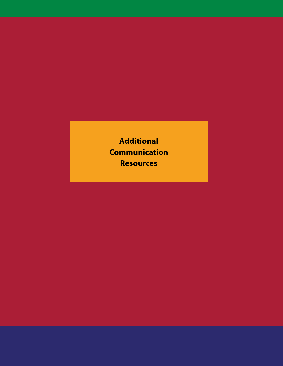**Additional Communication Resources**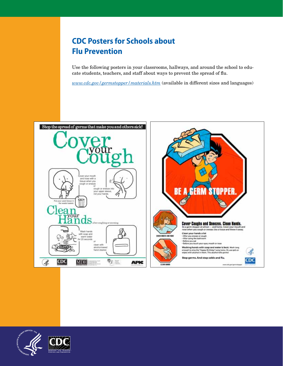### **CDC Posters for Schools about Flu Prevention**

and languages)

Use the following posters in your classrooms, hallways, and around the school to edu-*Use the following posters in your classrooms, hallways, and around the*  cate students, teachers, and staff about ways to prevent the spread of flu.

*www.cdc.gov/germstopper/materials.htm* (available in different sizes and languages)

where  $\alpha$  is the contract of the interior  $\alpha$  in different sizes  $\alpha$  in different sizes  $\alpha$  in different sizes  $\alpha$ 



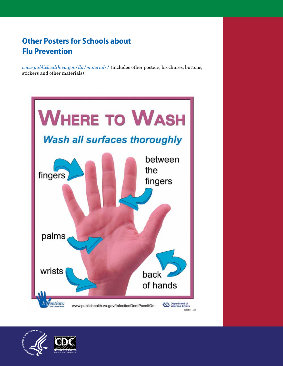### **Other Posters for Schools about Flu Prevention**

*www.publichealth.va.gov/flu/materials/* (includes other posters, brochures, buttons, **Other Posters for Schools about Flu Prevention**  stickers and other materials)



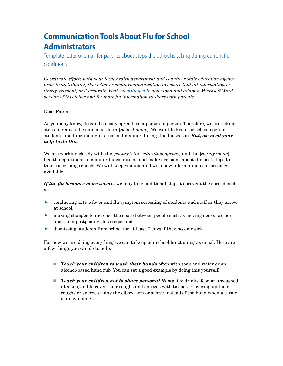### **Communication Tools About Flu for School Administrators**

Template letter or email for parents about steps the school is taking during current flu conditions

*Coordinate efforts with your local health department and county or state education agency prior to distributing this letter or email communication to ensure that all information is timely, relevant, and accurate. Visit www.flu.gov to download and adapt a Microsoft Word version of this letter and for more flu information to share with parents.*

#### Dear Parent,

As you may know, flu can be easily spread from person to person. Therefore, we are taking steps to reduce the spread of flu in [School name]. We want to keep the school open to students and functioning in a normal manner during this flu season. *But, we need your help to do this.*

We are working closely with the [*county/state education agency*] and the [*county/state*] health department to monitor flu conditions and make decisions about the best steps to take concerning schools. We will keep you updated with new information as it becomes available.

*If the flu becomes more severe,* we may take additional steps to prevent the spread such as:

- $\triangleright$  conducting active fever and flu symptom screening of students and staff as they arrive at school,
- making changes to increase the space between people such as moving desks farther apart and postponing class trips, and
- dismissing students from school for at least 7 days if they become sick.

For now we are doing everything we can to keep our school functioning as usual. Here are a few things you can do to help.

- **Teach your children to wash their hands** often with soap and water or an alcohol-based hand rub. You can set a good example by doing this yourself.
- **Teach your children not to share personal items** like drinks, food or unwashed utensils, and to cover their coughs and sneezes with tissues. Covering up their coughs or sneezes using the elbow, arm or sleeve instead of the hand when a tissue is unavailable.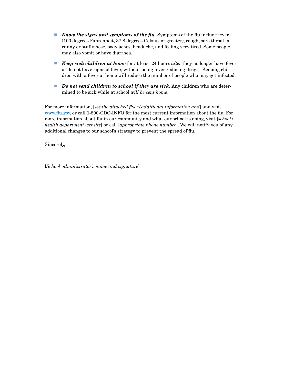- **Know the signs and symptoms of the flu.** Symptoms of the flu include fever (100 degrees Fahrenheit, 37.8 degrees Celsius or greater), cough, sore throat, a runny or stuffy nose, body aches, headache, and feeling very tired. Some people may also vomit or have diarrhea.
- *Keep sick children at home* for at least 24 hours *after* they no longer have fever or do not have signs of fever, without using fever-reducing drugs. Keeping children with a fever at home will reduce the number of people who may get infected.
- *Do not send children to school if they are sick.* Any children who are determined to be sick while at school *will be sent home*.

For more information, [*see the attached flyer/additional information and*] and visit www.flu.gov, or call 1-800-CDC-INFO for the most current information about the flu. For more information about flu in our community and what our school is doing, visit [*school/ health department website*] or call [*appropriate phone number*]. We will notify you of any additional changes to our school's strategy to prevent the spread of flu.

Sincerely,

[*School administrator's name and signature*]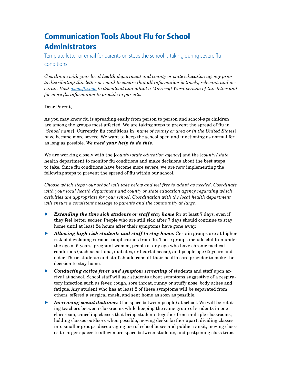### **Communication Tools About Flu for School Administrators**

Template letter or email for parents on steps the school is taking during severe flu conditions

*Coordinate with your local health department and county or state education agency prior to distributing this letter or email to ensure that all information is timely, relevant, and accurate. Visit www.flu.gov to download and adapt a Microsoft Word version of this letter and for more flu information to provide to parents.*

#### Dear Parent,

As you may know flu is spreading easily from person to person and school-age children are among the groups most affected. We are taking steps to prevent the spread of flu in [*School name*]. Currently, flu conditions in [*name of county or area or in the United States*] have become more severe. We want to keep the school open and functioning as normal for as long as possible. *We need your help to do this.*

We are working closely with the [*county/state education agency*] and the [*county/state*] health department to monitor flu conditions and make decisions about the best steps to take. Since flu conditions have become more severe, we are now implementing the following steps to prevent the spread of flu within our school.

*Choose which steps your school will take below and feel free to adapt as needed. Coordinate with your local health department and county or state education agency regarding which activities are appropriate for your school. Coordination with the local health department will ensure a consistent message to parents and the community at large.*

- **Extending the time sick students or staff stay home** for at least 7 days, even if they feel better sooner. People who are still sick after 7 days should continue to stay home until at least 24 hours after their symptoms have gone away.
- **Allowing high risk students and staff to stay home.** Certain groups are at higher risk of developing serious complications from flu. These groups include children under the age of 5 years, pregnant women, people of any age who have chronic medical conditions (such as asthma, diabetes, or heart disease), and people age 65 years and older. These students and staff should consult their health care provider to make the decision to stay home.
- **F** *Conducting active fever and symptom screening* of students and staff upon arrival at school. School staff will ask students about symptoms suggestive of a respiratory infection such as fever, cough, sore throat, runny or stuffy nose, body aches and fatigue. Any student who has at least 2 of these symptoms will be separated from others, offered a surgical mask, and sent home as soon as possible.
- **F** *Increasing social distances* (the space between people) at school. We will be rotating teachers between classrooms while keeping the same group of students in one classroom, canceling classes that bring students together from multiple classrooms, holding classes outdoors when possible, moving desks farther apart, dividing classes into smaller groups, discouraging use of school buses and public transit, moving classes to larger spaces to allow more space between students, and postponing class trips.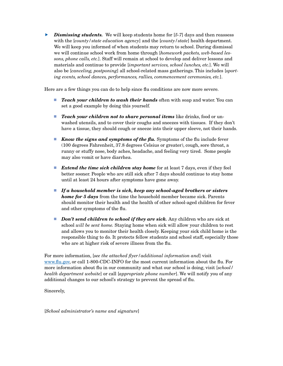*F Dismissing students.* We will keep students home for [5-7] days and then reassess with the [*county/state education agency*] and the [*county/state*] health department. We will keep you informed of when students may return to school. During dismissal we will continue school work from home through [*homework packets, web-based lessons, phone calls, etc.*]. Staff will remain at school to develop and deliver lessons and materials and continue to provide [*important services, school lunches, etc.*]. We will also be [*canceling, postponing*] all school-related mass gatherings. This includes [*sporting events, school dances, performances, rallies, commencement ceremonies, etc.*].

Here are a few things you can do to help since flu conditions are now more severe.

- *Teach your children to wash their hands* often with soap and water. You can set a good example by doing this yourself.
- **Teach your children not to share personal items** like drinks, food or unwashed utensils, and to cover their coughs and sneezes with tissues. If they don't have a tissue, they should cough or sneeze into their upper sleeve, not their hands.
- **Know the signs and symptoms of the flu.** Symptoms of the flu include fever (100 degrees Fahrenheit, 37.8 degrees Celsius or greater), cough, sore throat, a runny or stuffy nose, body aches, headache, and feeling very tired. Some people may also vomit or have diarrhea.
- **Extend the time sick children stay home** for at least 7 days, even if they feel better sooner. People who are still sick after 7 days should continue to stay home until at least 24 hours after symptoms have gone away.
- *If a household member is sick, keep any school-aged brothers or sisters home for 5 days* from the time the household member became sick. Parents should monitor their health and the health of other school-aged children for fever and other symptoms of the flu.
- **Don't send children to school if they are sick.** Any children who are sick at school *will be sent home.* Staying home when sick will allow your children to rest and allows you to monitor their health closely. Keeping your sick child home is the responsible thing to do. It protects fellow students and school staff, especially those who are at higher risk of severe illness from the flu.

For more information, [*see the attached flyer/additional information and*] visit www.flu.gov, or call 1-800-CDC-INFO for the most current information about the flu. For more information about flu in our community and what our school is doing, visit [*school/ health department website*] or call [*appropriate phone number*]. We will notify you of any additional changes to our school's strategy to prevent the spread of flu.

Sincerely,

[*School administrator's name and signature*]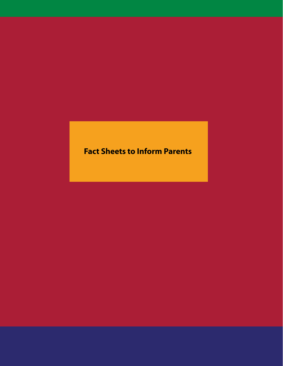## **Fact Sheets to Inform Parents**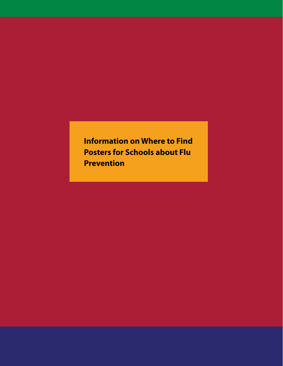**Information on Where to Find Posters for Schools about Flu Prevention**